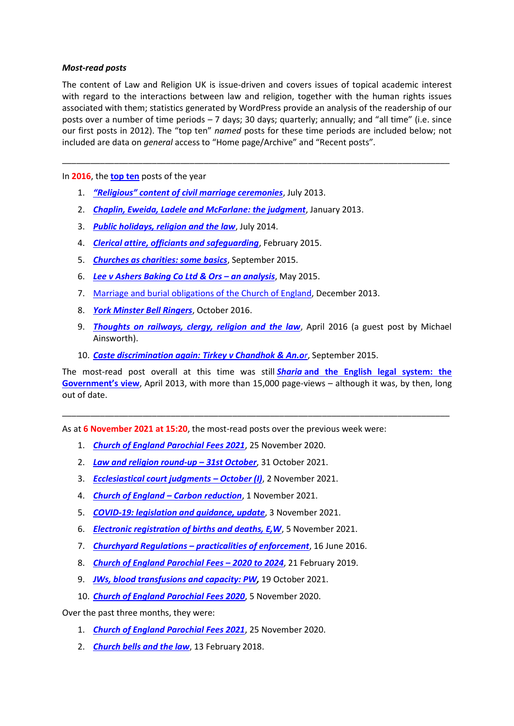## *Most-read posts*

The content of Law and Religion UK is issue-driven and covers issues of topical academic interest with regard to the interactions between law and religion, together with the human rights issues associated with them; statistics generated by WordPress provide an analysis of the readership of our posts over a number of time periods – 7 days; 30 days; quarterly; annually; and "all time" (i.e. since our first posts in 2012). The "top ten" *named* posts for these time periods are included below; not included are data on *general* access to "Home page/Archive" and "Recent posts".

\_\_\_\_\_\_\_\_\_\_\_\_\_\_\_\_\_\_\_\_\_\_\_\_\_\_\_\_\_\_\_\_\_\_\_\_\_\_\_\_\_\_\_\_\_\_\_\_\_\_\_\_\_\_\_\_\_\_\_\_\_\_\_\_\_\_\_\_\_\_\_\_\_\_\_\_\_\_\_\_\_\_

In **2016**, the **[top ten](https://lawandreligionuk.com/2017/01/01/law-religion-2016-and-2017-retrospect-and-prospect/#Our)** posts of the year

- 1. *["Religious" content of civil marriage ceremonies](https://www.lawandreligionuk.com/2013/07/05/religious-content-of-civil-marriage-ceremonies/)*, July 2013.
- 2. *[Chaplin, Eweida, Ladele and McFarlane: the judgment](https://www.lawandreligionuk.com/2013/01/17/chaplin-eweida-ladele-and-mcfarlane-the-judgment/)*, January 2013.
- 3. *[Public holidays, religion and the law](https://www.lawandreligionuk.com/2014/07/25/public-holidays-religion-and-the-law/)*, July 2014.
- 4. *[Clerical attire, officiants and safeguarding](https://www.lawandreligionuk.com/2015/02/09/clerical-attire-officiants-and-safeguarding/)*, February 2015.
- 5. *[Churches as charities: some basics](https://www.lawandreligionuk.com/2015/09/04/churches-as-charities-some-basics/)*, September 2015.
- 6. *[Lee v Ashers Baking Co Ltd & Ors](https://www.lawandreligionuk.com/2015/05/20/lee-v-ashers-baking-co-ltd-ors-an-analysis/) – an analysis*, May 2015.
- 7. [Marriage and burial obligations of the Church of England,](https://www.lawandreligionuk.com/2013/12/10/marriage-and-burial-obligations-of-the-church-of-england/) December 2013.
- 8. *[York Minster Bell Ringers](https://www.lawandreligionuk.com/2016/10/17/york-minster-bell-ringers/)*, October 2016.
- 9. *[Thoughts on railways, clergy, religion and the law](https://www.lawandreligionuk.com/2016/04/18/thoughts-on-railways-clergy-religion-and-the-law/)*, April 2016 (a guest post by Michael Ainsworth).
- 10. *[Caste discrimination again:](https://www.lawandreligionuk.com/2015/09/28/caste-discrimination-again-tirkey-v-chandhok-anor/) Tirkey v Chandhok & An.or*, September 2015.

The most-read post overall at this time was still *Sharia* **[and the English legal system: the](https://www.lawandreligionuk.com/2013/04/29/sharia-and-the-english-legal-system-the-governments-view/)  [Government's view](https://www.lawandreligionuk.com/2013/04/29/sharia-and-the-english-legal-system-the-governments-view/)**, April 2013, with more than 15,000 page-views – although it was, by then, long out of date.

\_\_\_\_\_\_\_\_\_\_\_\_\_\_\_\_\_\_\_\_\_\_\_\_\_\_\_\_\_\_\_\_\_\_\_\_\_\_\_\_\_\_\_\_\_\_\_\_\_\_\_\_\_\_\_\_\_\_\_\_\_\_\_\_\_\_\_\_\_\_\_\_\_\_\_\_\_\_\_\_\_\_

As at **6 November 2021 at 15:20**, the most-read posts over the previous week were:

- 1. *[Church of England Parochial Fees 2021](https://lawandreligionuk.com/2020/11/25/church-of-england-parochial-fees-2021/)*, 25 November 2020.
- 2. *[Law and religion round-up](https://lawandreligionuk.com/2021/10/31/law-and-religion-round-up-31st-october/) – 31st October*, 31 October 2021.
- 3. *[Ecclesiastical court judgments](https://lawandreligionuk.com/2021/11/02/ecclesiastical-court-judgments-october-i/) – October (I)*, 2 November 2021.
- 4. *[Church of England](https://lawandreligionuk.com/2021/11/01/church-of-england-carbon-reduction/) – Carbon reduction*, 1 November 2021.
- 5. *[COVID-19: legislation and guidance, update](https://lawandreligionuk.com/2021/11/03/covid-19-legislation-and-guidance-november-update/)*, 3 November 2021.
- 6. *[Electronic registration of births and deaths, E,W](https://lawandreligionuk.com/2021/11/05/electronic-registration-of-births-and-deaths-england-and-wales/)*, 5 November 2021.
- 7. **Churchyard Regulations [practicalities of enforcement](https://lawandreligionuk.com/2016/06/16/churchyard-regulations-the-practicalities-of-enforcement/)**, 16 June 2016.
- 8. *[Church of England Parochial Fees](https://lawandreligionuk.com/2019/02/21/church-of-england-parochial-fees-changes-for-2020-to-2024/) – 2020 to 2024*, 21 February 2019.
- 9. *[JWs, blood transfusions and capacity: PW,](https://lawandreligionuk.com/2021/10/19/jehovahs-witnesses-blood-transfusions-and-capacity-pw/)* 19 October 2021.
- 10. *[Church of England Parochial Fees 2020](https://lawandreligionuk.com/2019/11/05/church-of-england-parochial-fees-2020/)*, 5 November 2020.

Over the past three months, they were:

- 1. *[Church of England Parochial Fees 2021](https://lawandreligionuk.com/2020/11/25/church-of-england-parochial-fees-2021/)*, 25 November 2020.
- 2. *[Church bells and the law](https://lawandreligionuk.com/2018/02/13/church-bells-and-the-law/)*, 13 February 2018.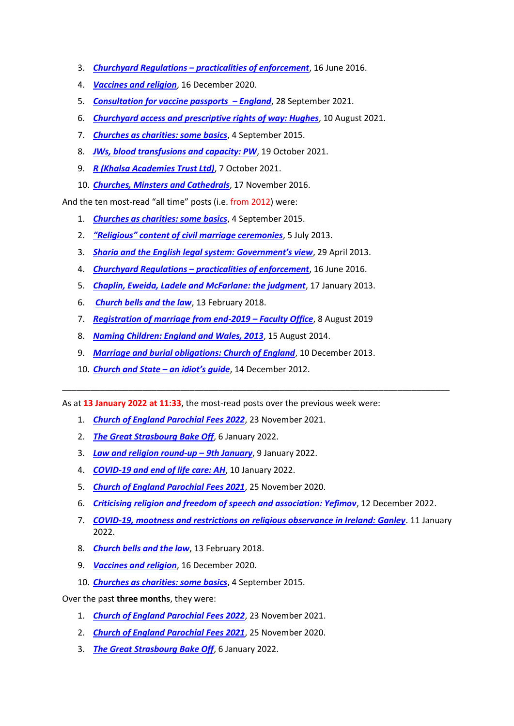- 3. *Churchyard Regulations – [practicalities of enforcement](https://lawandreligionuk.com/2016/06/16/churchyard-regulations-the-practicalities-of-enforcement/)*, 16 June 2016.
- 4. *[Vaccines and religion](https://lawandreligionuk.com/2020/12/16/vaccines-and-religion/)*, 16 December 2020.
- 5. *[Consultation for vaccine passports](https://lawandreligionuk.com/2021/09/28/consultation-for-vaccine-passports-england/) – England*, 28 September 2021.
- 6. *[Churchyard access and prescriptive rights of way: Hughes](https://lawandreligionuk.com/2021/08/10/churchyard-access-and-prescriptive-right-of-way-hughes/)*, 10 August 2021.
- 7. *[Churches as charities: some basics](https://lawandreligionuk.com/2015/09/04/churches-as-charities-some-basics/)*, 4 September 2015.
- 8. *[JWs, blood transfusions and capacity: PW](https://lawandreligionuk.com/2021/10/19/jehovahs-witnesses-blood-transfusions-and-capacity-pw/)*, 19 October 2021.
- 9. *[R \(Khalsa Academies Trust Ltd\)](https://lawandreligionuk.com/2021/10/07/faith-schools-and-safeguarding-r-khalsa-academies-trust-ltd/)*, 7 October 2021.
- 10. *[Churches, Minsters and Cathedrals](https://lawandreligionuk.com/2016/11/17/churches-minsters-and-cathedrals-2/)*, 17 November 2016.

And the ten most-read "all time" posts (i.e. from 2012) were:

- 1. *[Churches as charities: some basics](https://lawandreligionuk.com/2015/09/04/churches-as-charities-some-basics/)*, 4 September 2015.
- 2. *["Religious" content of civil marriage ceremonies](https://lawandreligionuk.com/2013/07/05/religious-content-of-civil-marriage-ceremonies/)*, 5 July 2013.
- 3. *[Sharia and the English legal system: Government's view](https://lawandreligionuk.com/2013/04/29/sharia-and-the-english-legal-system-the-governments-view/)*, 29 April 2013.
- 4. *Churchyard Regulations – [practicalities of enforcement](https://lawandreligionuk.com/2016/06/16/churchyard-regulations-the-practicalities-of-enforcement/)*, 16 June 2016.
- 5. *[Chaplin, Eweida, Ladele and McFarlane: the judgment](https://lawandreligionuk.com/2013/01/17/chaplin-eweida-ladele-and-mcfarlane-the-judgment/)*, 17 January 2013.
- 6. *[Church bells and the law](https://lawandreligionuk.com/2018/02/13/church-bells-and-the-law/)*, 13 February 2018.
- 7. *[Registration of marriage from end-2019](https://lawandreligionuk.com/2019/08/08/registration-of-marriage-from-2-december-2019-faculty-office/) – Faculty Office*, 8 August 2019
- 8. *[Naming Children: England and Wales, 2013](https://lawandreligionuk.com/2014/08/15/naming-children-england-and-wales-2013/)*, 15 August 2014.
- 9. *[Marriage and burial obligations: Church of England](https://lawandreligionuk.com/2013/12/10/marriage-and-burial-obligations-of-the-church-of-england/)*, 10 December 2013.
- 10. *[Church and State](https://lawandreligionuk.com/2012/12/14/church-and-state-an-idiots-guide/) – an idiot's guide*, 14 December 2012.

As at **13 January 2022 at 11:33**, the most-read posts over the previous week were:

- 1. *[Church of England Parochial Fees 2022](https://lawandreligionuk.com/2021/11/23/church-of-england-parochial-fees-2022/)*, 23 November 2021.
- 2. *[The Great Strasbourg Bake Off](https://lawandreligionuk.com/2022/01/06/the-great-strasbourg-bake-off/)*, 6 January 2022.
- 3. *[Law and religion round-up](https://lawandreligionuk.com/2022/01/09/law-and-religion-round-up-9th-january/) – 9th January*, 9 January 2022.
- 4. *[COVID-19 and end of life care: AH](https://lawandreligionuk.com/2022/01/10/covid-19-and-end-of-life-care-ah/)*, 10 January 2022.
- 5. *[Church of England Parochial Fees 2021](https://lawandreligionuk.com/2020/11/25/church-of-england-parochial-fees-2021/)*, 25 November 2020.
- 6. *[Criticising religion and freedom of speech and association: Yefimov](https://lawandreligionuk.com/2021/12/12/__trashed-3/)*, 12 December 2022.

\_\_\_\_\_\_\_\_\_\_\_\_\_\_\_\_\_\_\_\_\_\_\_\_\_\_\_\_\_\_\_\_\_\_\_\_\_\_\_\_\_\_\_\_\_\_\_\_\_\_\_\_\_\_\_\_\_\_\_\_\_\_\_\_\_\_\_\_\_\_\_\_\_\_\_\_\_\_\_\_\_\_

- 7. *[COVID-19, mootness and restrictions on religious observance in Ireland: Ganley](https://lawandreligionuk.com/2022/01/11/covid-19-mootness-and-restrictions-on-religious-observance-in-ireland-ganley/)*. 11 January 2022.
- 8. *[Church bells and the law](https://lawandreligionuk.com/2018/02/13/church-bells-and-the-law/)*, 13 February 2018.
- 9. *[Vaccines and religion](https://lawandreligionuk.com/2020/12/16/vaccines-and-religion/)*, 16 December 2020.
- 10. *[Churches as charities: some basics](https://lawandreligionuk.com/2015/09/04/churches-as-charities-some-basics/)*, 4 September 2015.

Over the past **three months**, they were:

- 1. *[Church of England Parochial Fees 2022](https://lawandreligionuk.com/2021/11/23/church-of-england-parochial-fees-2022/)*, 23 November 2021.
- 2. *[Church of England Parochial Fees 2021](https://lawandreligionuk.com/2020/11/25/church-of-england-parochial-fees-2021/)*, 25 November 2020.
- 3. *[The Great Strasbourg Bake Off](https://lawandreligionuk.com/2022/01/06/the-great-strasbourg-bake-off/)*, 6 January 2022.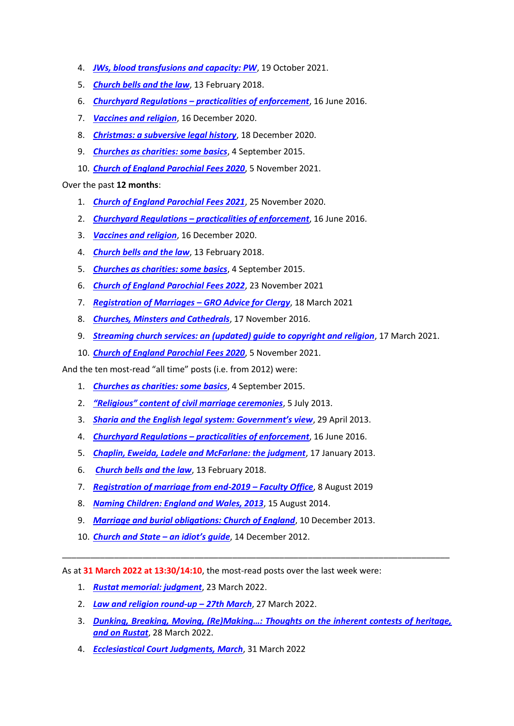- 4. *[JWs, blood transfusions and capacity: PW](https://lawandreligionuk.com/2021/10/19/jehovahs-witnesses-blood-transfusions-and-capacity-pw/)*, 19 October 2021.
- 5. *[Church bells and the law](https://lawandreligionuk.com/2018/02/13/church-bells-and-the-law/)*, 13 February 2018.
- 6. *Churchyard Regulations – [practicalities of enforcement](https://lawandreligionuk.com/2016/06/16/churchyard-regulations-the-practicalities-of-enforcement/)*, 16 June 2016.
- 7. *[Vaccines and religion](https://lawandreligionuk.com/2020/12/16/vaccines-and-religion/)*, 16 December 2020.
- 8. *[Christmas: a subversive legal history](https://lawandreligionuk.com/2021/12/18/christmas-a-subversive-legal-history/)*, 18 December 2020.
- 9. *[Churches as charities: some basics](https://lawandreligionuk.com/2015/09/04/churches-as-charities-some-basics/)*, 4 September 2015.
- 10. *[Church of England Parochial Fees 2020](https://lawandreligionuk.com/2019/11/05/church-of-england-parochial-fees-2020/)*, 5 November 2021.

## Over the past **12 months**:

- 1. *[Church of England Parochial Fees 2021](https://lawandreligionuk.com/2020/11/25/church-of-england-parochial-fees-2021/)*, 25 November 2020.
- 2. *Churchyard Regulations – [practicalities of enforcement](https://lawandreligionuk.com/2016/06/16/churchyard-regulations-the-practicalities-of-enforcement/)*, 16 June 2016.
- 3. *[Vaccines and religion](https://lawandreligionuk.com/2020/12/16/vaccines-and-religion/)*, 16 December 2020.
- 4. *[Church bells and the law](https://lawandreligionuk.com/2018/02/13/church-bells-and-the-law/)*, 13 February 2018.
- 5. *[Churches as charities: some basics](https://lawandreligionuk.com/2015/09/04/churches-as-charities-some-basics/)*, 4 September 2015.
- 6. *[Church of England Parochial Fees 2022](https://lawandreligionuk.com/2021/11/23/church-of-england-parochial-fees-2022/)*, 23 November 2021
- 7. *[Registration of Marriages](https://lawandreligionuk.com/2021/03/18/registration-of-marriages-gro-advice-for-clergy/) – GRO Advice for Clergy*, 18 March 2021
- 8. *[Churches, Minsters and Cathedrals](https://lawandreligionuk.com/2016/11/17/churches-minsters-and-cathedrals-2/)*, 17 November 2016.
- 9. *[Streaming church services: an \(updated\) guide to copyright and religion](https://lawandreligionuk.com/2020/03/17/streaming-church-services-an-updated-guide-to-copyright-and-religion/)*, 17 March 2021.
- 10. *[Church of England Parochial Fees 2020](https://lawandreligionuk.com/2019/11/05/church-of-england-parochial-fees-2020/)*, 5 November 2021.

And the ten most-read "all time" posts (i.e. from 2012) were:

- 1. *[Churches as charities: some basics](https://lawandreligionuk.com/2015/09/04/churches-as-charities-some-basics/)*, 4 September 2015.
- 2. *["Religious" content of civil marriage ceremonies](https://lawandreligionuk.com/2013/07/05/religious-content-of-civil-marriage-ceremonies/)*, 5 July 2013.
- 3. *[Sharia and the English legal system: Government's view](https://lawandreligionuk.com/2013/04/29/sharia-and-the-english-legal-system-the-governments-view/)*, 29 April 2013.
- 4. *Churchyard Regulations – [practicalities of enforcement](https://lawandreligionuk.com/2016/06/16/churchyard-regulations-the-practicalities-of-enforcement/)*, 16 June 2016.
- 5. *[Chaplin, Eweida, Ladele and McFarlane: the judgment](https://lawandreligionuk.com/2013/01/17/chaplin-eweida-ladele-and-mcfarlane-the-judgment/)*, 17 January 2013.
- 6. *[Church bells and the law](https://lawandreligionuk.com/2018/02/13/church-bells-and-the-law/)*, 13 February 2018.
- 7. *[Registration of marriage from end-2019](https://lawandreligionuk.com/2019/08/08/registration-of-marriage-from-2-december-2019-faculty-office/) – Faculty Office*, 8 August 2019
- 8. *[Naming Children: England and Wales, 2013](https://lawandreligionuk.com/2014/08/15/naming-children-england-and-wales-2013/)*, 15 August 2014.
- 9. *[Marriage and burial obligations: Church of England](https://lawandreligionuk.com/2013/12/10/marriage-and-burial-obligations-of-the-church-of-england/)*, 10 December 2013.
- 10. *[Church and State](https://lawandreligionuk.com/2012/12/14/church-and-state-an-idiots-guide/) – an idiot's guide*, 14 December 2012.

As at **31 March 2022 at 13:30/14:10**, the most-read posts over the last week were:

- 1. *[Rustat memorial: judgment](https://lawandreligionuk.com/2022/03/23/rustat-memorial-judgment/)*, 23 March 2022.
- 2. *[Law and religion round-up](https://lawandreligionuk.com/2022/03/27/law-and-religion-round-up-27th-march-2/) – 27th March*, 27 March 2022.
- 3. *[Dunking, Breaking, Moving, \(Re\)Making…: Thoughts on the inherent contests of heritage,](https://lawandreligionuk.com/2022/03/28/dunking-breaking-moving-remaking-thoughts-on-the-inherent-contests-of-heritage-and-on-rustat/)  [and on Rustat](https://lawandreligionuk.com/2022/03/28/dunking-breaking-moving-remaking-thoughts-on-the-inherent-contests-of-heritage-and-on-rustat/)*, 28 March 2022.

\_\_\_\_\_\_\_\_\_\_\_\_\_\_\_\_\_\_\_\_\_\_\_\_\_\_\_\_\_\_\_\_\_\_\_\_\_\_\_\_\_\_\_\_\_\_\_\_\_\_\_\_\_\_\_\_\_\_\_\_\_\_\_\_\_\_\_\_\_\_\_\_\_\_\_\_\_\_\_\_\_\_

4. *[Ecclesiastical Court Judgments, March](https://lawandreligionuk.com/2022/03/31/ecclesiastical-court-judgments-march-3/)*, 31 March 2022